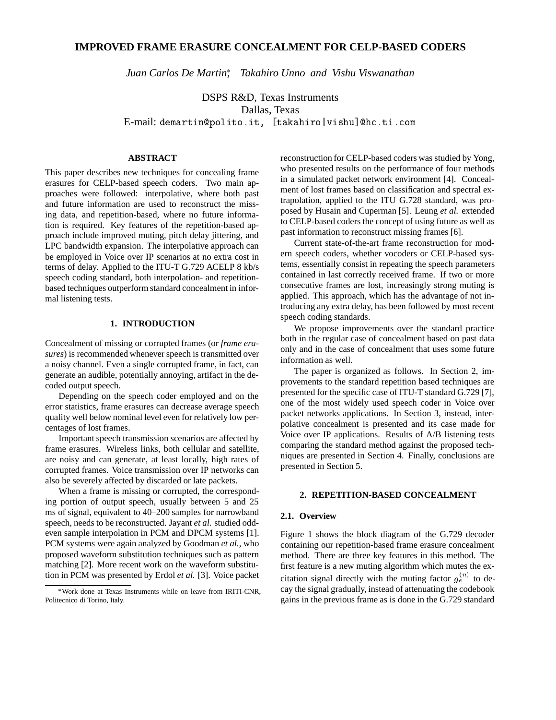# **IMPROVED FRAME ERASURE CONCEALMENT FOR CELP-BASED CODERS**

*[Juan Carlos De Martin](http://www.polito.it/~demartin) , Takahiro Unno and Vishu Viswanathan*

DSPS R&D, Texas Instruments Dallas, Texas E-mail: [demartin@polito.it,](http://www.polito.it/~demartin) [takahiro|vishu]@hc.ti.com

## **ABSTRACT**

This paper describes new techniques for concealing frame erasures for CELP-based speech coders. Two main approaches were followed: interpolative, where both past and future information are used to reconstruct the missing data, and repetition-based, where no future information is required. Key features of the repetition-based approach include improved muting, pitch delay jittering, and LPC bandwidth expansion. The interpolative approach can be employed in Voice over IP scenarios at no extra cost in terms of delay. Applied to the ITU-T G.729 ACELP 8 kb/s speech coding standard, both interpolation- and repetitionbased techniques outperform standard concealment in informal listening tests.

## **1. INTRODUCTION**

Concealment of missing or corrupted frames (or *frame erasures*) is recommended whenever speech is transmitted over a noisy channel. Even a single corrupted frame, in fact, can generate an audible, potentially annoying, artifact in the decoded output speech.

Depending on the speech coder employed and on the error statistics, frame erasures can decrease average speech quality well below nominal level even for relatively low percentages of lost frames.

Important speech transmission scenarios are affected by frame erasures. Wireless links, both cellular and satellite, are noisy and can generate, at least locally, high rates of corrupted frames. Voice transmission over IP networks can also be severely affected by discarded or late packets.

When a frame is missing or corrupted, the corresponding portion of output speech, usually between 5 and 25 ms of signal, equivalent to 40–200 samples for narrowband speech, needs to be reconstructed. Jayant *et al.* studied oddeven sample interpolation in PCM and DPCM systems [1]. PCM systems were again analyzed by Goodman *et al.*, who proposed waveform substitution techniques such as pattern matching [2]. More recent work on the waveform substitution in PCM was presented by Erdol *et al.* [3]. Voice packet reconstruction for CELP-based coders was studied by Yong, who presented results on the performance of four methods in a simulated packet network environment [4]. Concealment of lost frames based on classification and spectral extrapolation, applied to the ITU G.728 standard, was proposed by Husain and Cuperman [5]. Leung *et al.* extended to CELP-based coders the concept of using future as well as past information to reconstruct missing frames [6].

Current state-of-the-art frame reconstruction for modern speech coders, whether vocoders or CELP-based systems, essentially consist in repeating the speech parameters contained in last correctly received frame. If two or more consecutive frames are lost, increasingly strong muting is applied. This approach, which has the advantage of not introducing any extra delay, has been followed by most recent speech coding standards.

We propose improvements over the standard practice both in the regular case of concealment based on past data only and in the case of concealment that uses some future information as well.

The paper is organized as follows. In Section 2, improvements to the standard repetition based techniques are presented for the specific case of ITU-T standard G.729 [7], one of the most widely used speech coder in Voice over packet networks applications. In Section 3, instead, interpolative concealment is presented and its case made for Voice over IP applications. Results of A/B listening tests comparing the standard method against the proposed techniques are presented in Section 4. Finally, conclusions are presented in Section 5.

# **2. REPETITION-BASED CONCEALMENT**

#### **2.1. Overview**

Figure 1 shows the block diagram of the G.729 decoder containing our repetition-based frame erasure concealment method. There are three key features in this method. The first feature is a new muting algorithm which mutes the excitation signal directly with the muting factor  $g_e^{(n)}$  to decay the signal gradually, instead of attenuating the codebook gains in the previous frame as is done in the G.729 standard

Work done at Texas Instruments while on leave from IRITI-CNR, Politecnico di Torino, Italy.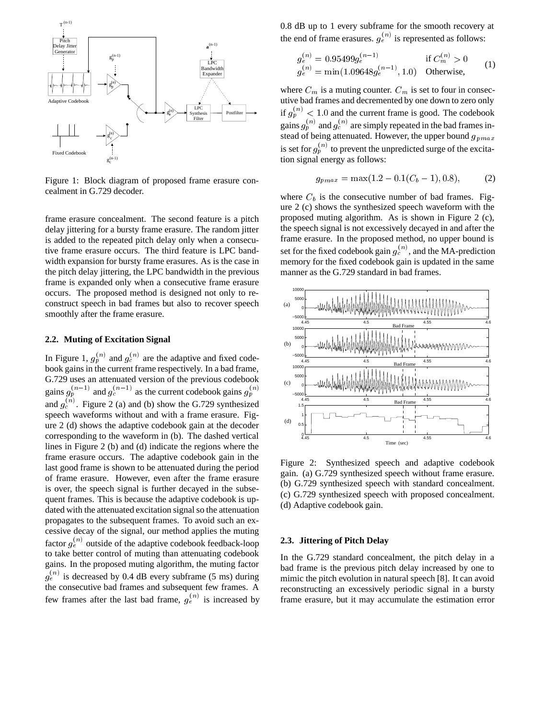

Figure 1: Block diagram of proposed frame erasure concealment in G.729 decoder.

frame erasure concealment. The second feature is a pitch delay jittering for a bursty frame erasure. The random jitter is added to the repeated pitch delay only when a consecutive frame erasure occurs. The third feature is LPC bandwidth expansion for bursty frame erasures. As is the case in the pitch delay jittering, the LPC bandwidth in the previous frame is expanded only when a consecutive frame erasure occurs. The proposed method is designed not only to reconstruct speech in bad frames but also to recover speech smoothly after the frame erasure.

# **2.2. Muting of Excitation Signal**

In Figure 1,  $g_p^{(n)}$  and  $g_c^{(n)}$  are the adaptive and fixed codebook gains in the current frame respectively. In a bad frame, G.729 uses an attenuated version of the previous codebook gains  $g_p^{(n-1)}$  and  $g_c^{(n-1)}$  as the current codebook gains  $g_p^{(n)}$ and  $g_c^{(n)}$ . Figure 2 (a) and (b) show the G.729 synthesized speech waveforms without and with a frame erasure. Figure 2 (d) shows the adaptive codebook gain at the decoder corresponding to the waveform in (b). The dashed vertical lines in Figure 2 (b) and (d) indicate the regions where the frame erasure occurs. The adaptive codebook gain in the last good frame is shown to be attenuated during the period of frame erasure. However, even after the frame erasure is over, the speech signal is further decayed in the subsequent frames. This is because the adaptive codebook is updated with the attenuated excitation signal so the attenuation propagates to the subsequent frames. To avoid such an excessive decay of the signal, our method applies the muting factor  $g_e^{(n)}$  outside of the adaptive codebook feedback-loop to take better control of muting than attenuating codebook gains. In the proposed muting algorithm, the muting factor  $g_e^{(n)}$  is decreased by 0.4 dB every subframe (5 ms) during the consecutive bad frames and subsequent few frames. A few frames after the last bad frame,  $g_e^{(n)}$  is increased by

0.8 dB up to 1 every subframe for the smooth recovery at the end of frame erasures.  $g_e^{(n)}$  is represented as follows:

$$
g_e^{(n)} = 0.95499g_e^{(n-1)} \qquad \text{if } C_m^{(n)} > 0
$$
  
\n
$$
g_e^{(n)} = \min(1.09648g_e^{(n-1)}, 1.0) \qquad \text{Otherwise}, \qquad (1)
$$

where  $C_m$  is a muting counter.  $C_m$  is set to four in consecutive bad frames and decremented by one down to zero only if  $g_p^{(n)}$  < 1.0 and the current frame is good. The codebook gains  $g_p^{(n)}$  and  $g_c^{(n)}$  are simply repeated in the bad frames instead of being attenuated. However, the upper bound  $g_{pmax}$ is set for  $g_p^{(n)}$  to prevent the unpredicted surge of the excitation signal energy as follows:

$$
g_{pmax} = \max(1.2 - 0.1(C_b - 1), 0.8),\tag{2}
$$

where  $C_b$  is the consecutive number of bad frames. Figure 2 (c) shows the synthesized speech waveform with the proposed muting algorithm. As is shown in Figure 2 (c), the speech signal is not excessively decayed in and after the frame erasure. In the proposed method, no upper bound is set for the fixed codebook gain  $g_c^{(n)}$ , and the MA-prediction memory for the fixed codebook gain is updated in the same manner as the G.729 standard in bad frames.



Figure 2: Synthesized speech and adaptive codebook gain. (a) G.729 synthesized speech without frame erasure. (b) G.729 synthesized speech with standard concealment. (c) G.729 synthesized speech with proposed concealment. (d) Adaptive codebook gain.

# **2.3. Jittering of Pitch Delay**

In the G.729 standard concealment, the pitch delay in a bad frame is the previous pitch delay increased by one to mimic the pitch evolution in natural speech [8]. It can avoid reconstructing an excessively periodic signal in a bursty frame erasure, but it may accumulate the estimation error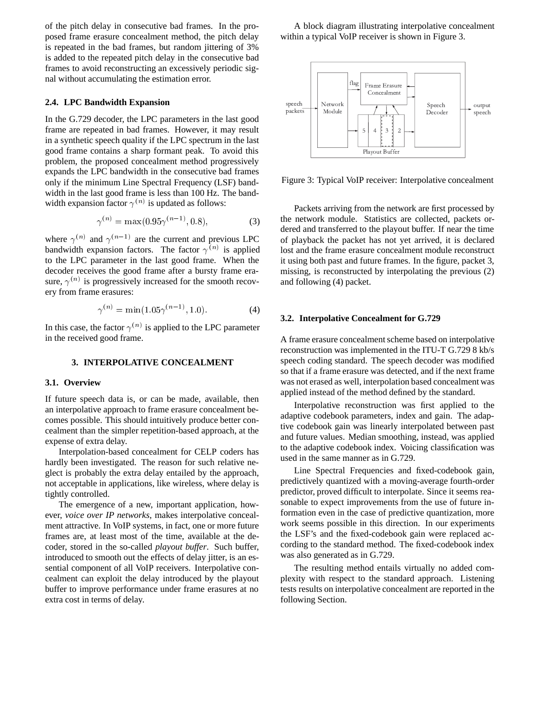of the pitch delay in consecutive bad frames. In the proposed frame erasure concealment method, the pitch delay is repeated in the bad frames, but random jittering of 3% is added to the repeated pitch delay in the consecutive bad frames to avoid reconstructing an excessively periodic signal without accumulating the estimation error.

#### **2.4. LPC Bandwidth Expansion**

In the G.729 decoder, the LPC parameters in the last good frame are repeated in bad frames. However, it may result in a synthetic speech quality if the LPC spectrum in the last good frame contains a sharp formant peak. To avoid this problem, the proposed concealment method progressively expands the LPC bandwidth in the consecutive bad frames only if the minimum Line Spectral Frequency (LSF) bandwidth in the last good frame is less than 100 Hz. The bandwidth expansion factor  $\gamma^{(n)}$  is updated as follows:

$$
\gamma^{(n)} = \max(0.95\gamma^{(n-1)}, 0.8),\tag{3}
$$

where  $\gamma^{(n)}$  and  $\gamma^{(n-1)}$  are the current and previous LPC bandwidth expansion factors. The factor  $\gamma^{(n)}$  is applied to the LPC parameter in the last good frame. When the decoder receives the good frame after a bursty frame erasure,  $\gamma^{(n)}$  is progressively increased for the smooth recovery from frame erasures:

$$
\gamma^{(n)} = \min(1.05\gamma^{(n-1)}, 1.0). \tag{4}
$$

In this case, the factor  $\gamma^{(n)}$  is applied to the LPC parameter in the received good frame.

# **3. INTERPOLATIVE CONCEALMENT**

#### **3.1. Overview**

If future speech data is, or can be made, available, then an interpolative approach to frame erasure concealment becomes possible. This should intuitively produce better concealment than the simpler repetition-based approach, at the expense of extra delay.

Interpolation-based concealment for CELP coders has hardly been investigated. The reason for such relative neglect is probably the extra delay entailed by the approach, not acceptable in applications, like wireless, where delay is tightly controlled.

The emergence of a new, important application, however, *voice over IP networks*, makes interpolative concealment attractive. In VoIP systems, in fact, one or more future frames are, at least most of the time, available at the decoder, stored in the so-called *playout buffer*. Such buffer, introduced to smooth out the effects of delay jitter, is an essential component of all VoIP receivers. Interpolative concealment can exploit the delay introduced by the playout buffer to improve performance under frame erasures at no extra cost in terms of delay.

A block diagram illustrating interpolative concealment within a typical VoIP receiver is shown in Figure 3.



Figure 3: Typical VoIP receiver: Interpolative concealment

Packets arriving from the network are first processed by the network module. Statistics are collected, packets ordered and transferred to the playout buffer. If near the time of playback the packet has not yet arrived, it is declared lost and the frame erasure concealment module reconstruct it using both past and future frames. In the figure, packet 3, missing, is reconstructed by interpolating the previous (2) and following (4) packet.

### **3.2. Interpolative Concealment for G.729**

A frame erasure concealment scheme based on interpolative reconstruction was implemented in the ITU-T G.729 8 kb/s speech coding standard. The speech decoder was modified so that if a frame erasure was detected, and if the next frame was not erased as well, interpolation based concealment was applied instead of the method defined by the standard.

Interpolative reconstruction was first applied to the adaptive codebook parameters, index and gain. The adaptive codebook gain was linearly interpolated between past and future values. Median smoothing, instead, was applied to the adaptive codebook index. Voicing classification was used in the same manner as in G.729.

Line Spectral Frequencies and fixed-codebook gain, predictively quantized with a moving-average fourth-order predictor, proved difficult to interpolate. Since it seems reasonable to expect improvements from the use of future information even in the case of predictive quantization, more work seems possible in this direction. In our experiments the LSF's and the fixed-codebook gain were replaced according to the standard method. The fixed-codebook index was also generated as in G.729.

The resulting method entails virtually no added complexity with respect to the standard approach. Listening tests results on interpolative concealment are reported in the following Section.